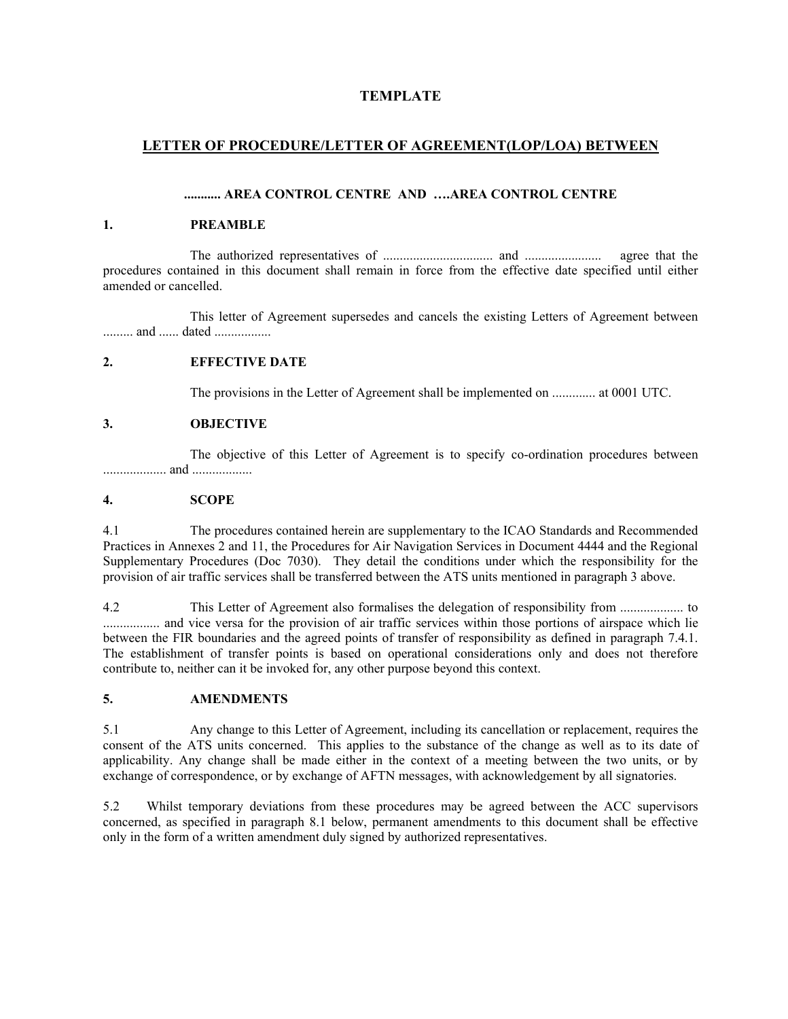## **TEMPLATE**

## **LETTER OF PROCEDURE/LETTER OF AGREEMENT(LOP/LOA) BETWEEN**

### **........... AREA CONTROL CENTRE AND ….AREA CONTROL CENTRE**

### **1. PREAMBLE**

 The authorized representatives of ................................. and ....................... agree that the procedures contained in this document shall remain in force from the effective date specified until either amended or cancelled.

 This letter of Agreement supersedes and cancels the existing Letters of Agreement between .......... and ...... dated .................

## **2. EFFECTIVE DATE**

The provisions in the Letter of Agreement shall be implemented on ............. at 0001 UTC.

### **3. OBJECTIVE**

 The objective of this Letter of Agreement is to specify co-ordination procedures between ................... and ..................

### **4. SCOPE**

4.1 The procedures contained herein are supplementary to the ICAO Standards and Recommended Practices in Annexes 2 and 11, the Procedures for Air Navigation Services in Document 4444 and the Regional Supplementary Procedures (Doc 7030). They detail the conditions under which the responsibility for the provision of air traffic services shall be transferred between the ATS units mentioned in paragraph 3 above.

4.2 This Letter of Agreement also formalises the delegation of responsibility from ................... to .................. and vice versa for the provision of air traffic services within those portions of airspace which lie between the FIR boundaries and the agreed points of transfer of responsibility as defined in paragraph 7.4.1. The establishment of transfer points is based on operational considerations only and does not therefore contribute to, neither can it be invoked for, any other purpose beyond this context.

### **5. AMENDMENTS**

5.1 Any change to this Letter of Agreement, including its cancellation or replacement, requires the consent of the ATS units concerned. This applies to the substance of the change as well as to its date of applicability. Any change shall be made either in the context of a meeting between the two units, or by exchange of correspondence, or by exchange of AFTN messages, with acknowledgement by all signatories.

5.2 Whilst temporary deviations from these procedures may be agreed between the ACC supervisors concerned, as specified in paragraph 8.1 below, permanent amendments to this document shall be effective only in the form of a written amendment duly signed by authorized representatives.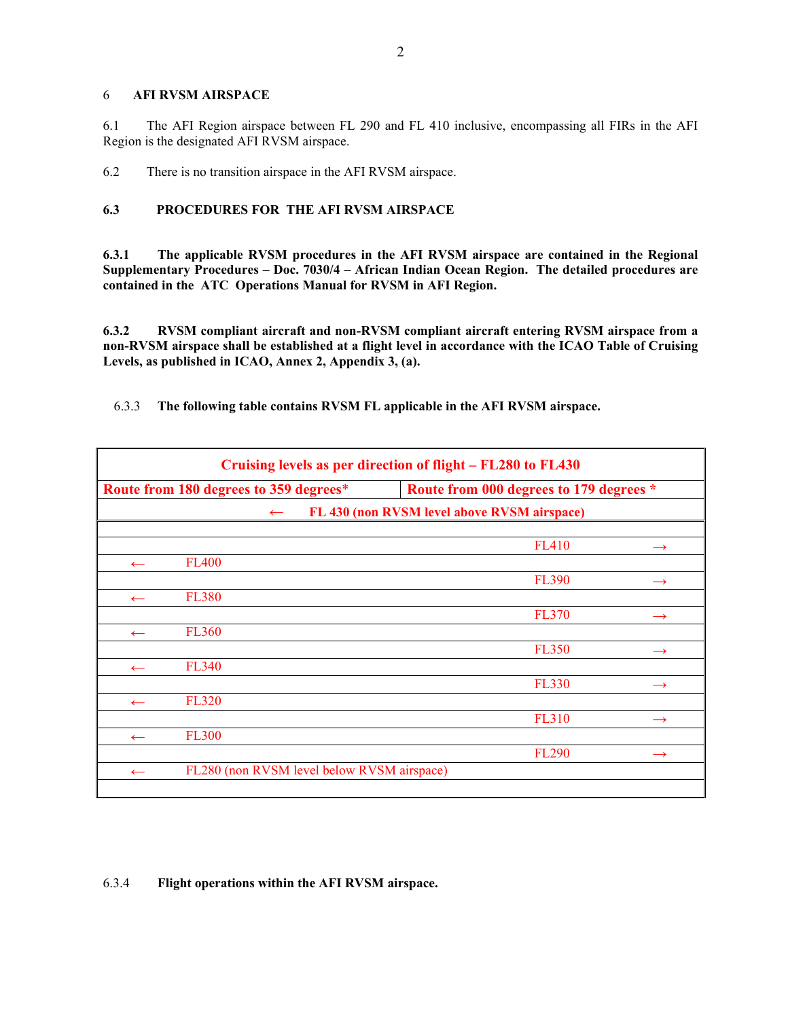#### 6 **AFI RVSM AIRSPACE**

6.1 The AFI Region airspace between FL 290 and FL 410 inclusive, encompassing all FIRs in the AFI Region is the designated AFI RVSM airspace.

6.2 There is no transition airspace in the AFI RVSM airspace.

## **6.3 PROCEDURES FOR THE AFI RVSM AIRSPACE**

**6.3.1 The applicable RVSM procedures in the AFI RVSM airspace are contained in the Regional Supplementary Procedures – Doc. 7030/4 – African Indian Ocean Region. The detailed procedures are contained in the ATC Operations Manual for RVSM in AFI Region.** 

**6.3.2 RVSM compliant aircraft and non-RVSM compliant aircraft entering RVSM airspace from a non-RVSM airspace shall be established at a flight level in accordance with the ICAO Table of Cruising Levels, as published in ICAO, Annex 2, Appendix 3, (a).** 

6.3.3 **The following table contains RVSM FL applicable in the AFI RVSM airspace.**

| Cruising levels as per direction of flight – FL280 to FL430 |                                            |                                         |               |  |
|-------------------------------------------------------------|--------------------------------------------|-----------------------------------------|---------------|--|
|                                                             | Route from 180 degrees to 359 degrees*     | Route from 000 degrees to 179 degrees * |               |  |
| FL 430 (non RVSM level above RVSM airspace)<br>$\leftarrow$ |                                            |                                         |               |  |
|                                                             |                                            |                                         |               |  |
|                                                             |                                            | <b>FL410</b>                            |               |  |
| $\leftarrow$                                                | <b>FL400</b>                               |                                         |               |  |
|                                                             |                                            | <b>FL390</b>                            | $\rightarrow$ |  |
| $\leftarrow$                                                | <b>FL380</b>                               |                                         |               |  |
|                                                             |                                            | <b>FL370</b>                            | $\rightarrow$ |  |
| $\leftarrow$                                                | <b>FL360</b>                               |                                         |               |  |
|                                                             |                                            | <b>FL350</b>                            | $\rightarrow$ |  |
| $\leftarrow$                                                | <b>FL340</b>                               |                                         |               |  |
|                                                             |                                            | <b>FL330</b>                            | $\rightarrow$ |  |
| $\leftarrow$                                                | <b>FL320</b>                               |                                         |               |  |
|                                                             |                                            | <b>FL310</b>                            |               |  |
| $\leftarrow$                                                | <b>FL300</b>                               |                                         |               |  |
|                                                             |                                            | <b>FL290</b>                            | $\rightarrow$ |  |
| $\leftarrow$                                                | FL280 (non RVSM level below RVSM airspace) |                                         |               |  |
|                                                             |                                            |                                         |               |  |

### 6.3.4 **Flight operations within the AFI RVSM airspace.**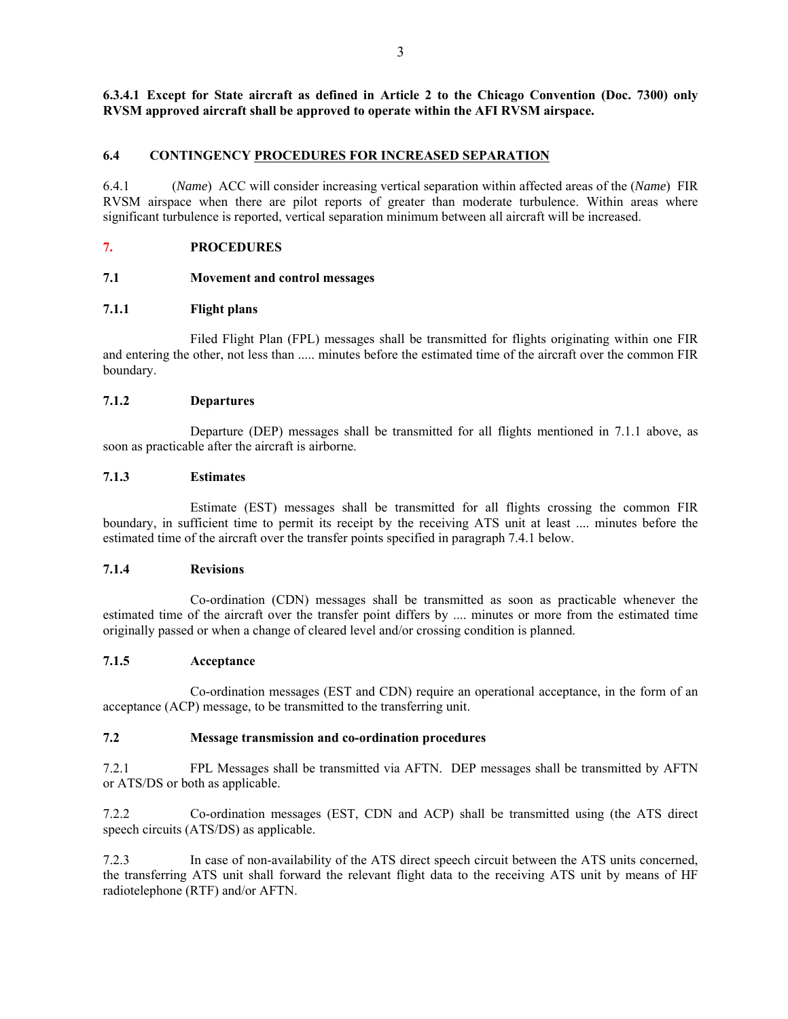**6.3.4.1 Except for State aircraft as defined in Article 2 to the Chicago Convention (Doc. 7300) only RVSM approved aircraft shall be approved to operate within the AFI RVSM airspace.** 

### **6.4 CONTINGENCY PROCEDURES FOR INCREASED SEPARATION**

6.4.1 (*Name*) ACC will consider increasing vertical separation within affected areas of the (*Name*) FIR RVSM airspace when there are pilot reports of greater than moderate turbulence. Within areas where significant turbulence is reported, vertical separation minimum between all aircraft will be increased.

### **7. PROCEDURES**

### **7.1 Movement and control messages**

### **7.1.1 Flight plans**

 Filed Flight Plan (FPL) messages shall be transmitted for flights originating within one FIR and entering the other, not less than ..... minutes before the estimated time of the aircraft over the common FIR boundary.

### **7.1.2 Departures**

 Departure (DEP) messages shall be transmitted for all flights mentioned in 7.1.1 above, as soon as practicable after the aircraft is airborne.

### **7.1.3 Estimates**

 Estimate (EST) messages shall be transmitted for all flights crossing the common FIR boundary, in sufficient time to permit its receipt by the receiving ATS unit at least .... minutes before the estimated time of the aircraft over the transfer points specified in paragraph 7.4.1 below.

### **7.1.4 Revisions**

 Co-ordination (CDN) messages shall be transmitted as soon as practicable whenever the estimated time of the aircraft over the transfer point differs by .... minutes or more from the estimated time originally passed or when a change of cleared level and/or crossing condition is planned.

### **7.1.5 Acceptance**

 Co-ordination messages (EST and CDN) require an operational acceptance, in the form of an acceptance (ACP) message, to be transmitted to the transferring unit.

### **7.2 Message transmission and co-ordination procedures**

7.2.1 FPL Messages shall be transmitted via AFTN. DEP messages shall be transmitted by AFTN or ATS/DS or both as applicable.

7.2.2 Co-ordination messages (EST, CDN and ACP) shall be transmitted using (the ATS direct speech circuits (ATS/DS) as applicable.

7.2.3 In case of non-availability of the ATS direct speech circuit between the ATS units concerned, the transferring ATS unit shall forward the relevant flight data to the receiving ATS unit by means of HF radiotelephone (RTF) and/or AFTN.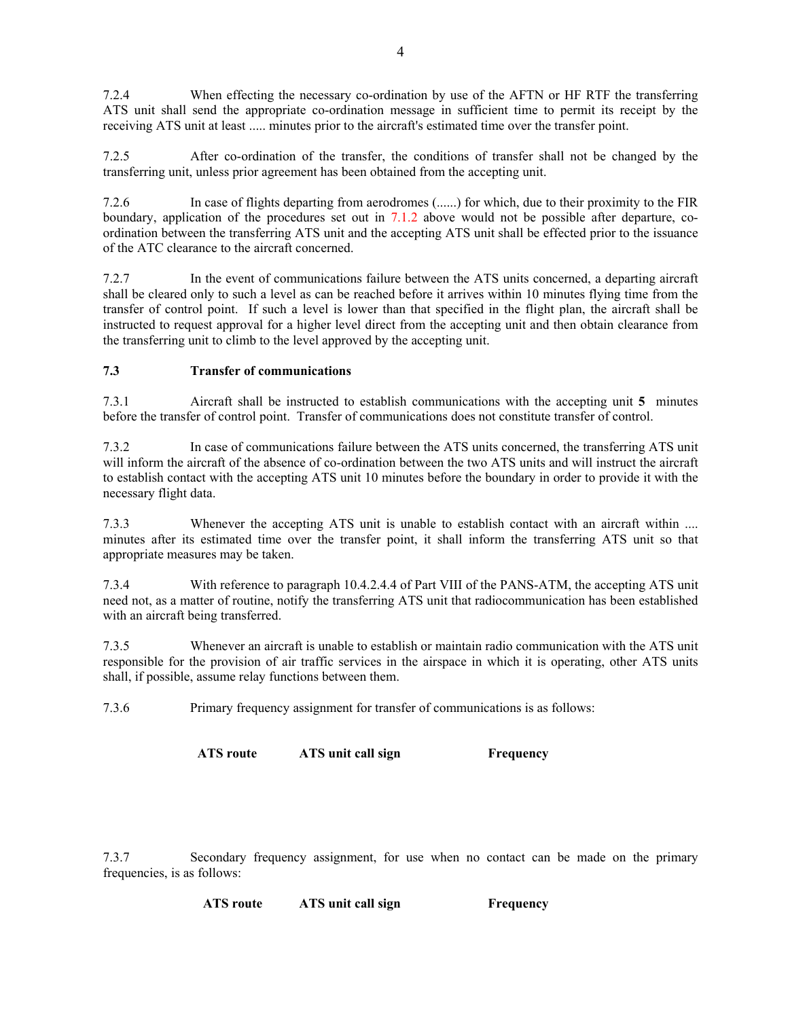7.2.4 When effecting the necessary co-ordination by use of the AFTN or HF RTF the transferring ATS unit shall send the appropriate co-ordination message in sufficient time to permit its receipt by the receiving ATS unit at least ..... minutes prior to the aircraft's estimated time over the transfer point.

7.2.5 After co-ordination of the transfer, the conditions of transfer shall not be changed by the transferring unit, unless prior agreement has been obtained from the accepting unit.

7.2.6 In case of flights departing from aerodromes (......) for which, due to their proximity to the FIR boundary, application of the procedures set out in 7.1.2 above would not be possible after departure, coordination between the transferring ATS unit and the accepting ATS unit shall be effected prior to the issuance of the ATC clearance to the aircraft concerned.

7.2.7 In the event of communications failure between the ATS units concerned, a departing aircraft shall be cleared only to such a level as can be reached before it arrives within 10 minutes flying time from the transfer of control point. If such a level is lower than that specified in the flight plan, the aircraft shall be instructed to request approval for a higher level direct from the accepting unit and then obtain clearance from the transferring unit to climb to the level approved by the accepting unit.

## **7.3 Transfer of communications**

7.3.1 Aircraft shall be instructed to establish communications with the accepting unit **5** minutes before the transfer of control point. Transfer of communications does not constitute transfer of control.

7.3.2 In case of communications failure between the ATS units concerned, the transferring ATS unit will inform the aircraft of the absence of co-ordination between the two ATS units and will instruct the aircraft to establish contact with the accepting ATS unit 10 minutes before the boundary in order to provide it with the necessary flight data.

7.3.3 Whenever the accepting ATS unit is unable to establish contact with an aircraft within .... minutes after its estimated time over the transfer point, it shall inform the transferring ATS unit so that appropriate measures may be taken.

7.3.4 With reference to paragraph 10.4.2.4.4 of Part VIII of the PANS-ATM, the accepting ATS unit need not, as a matter of routine, notify the transferring ATS unit that radiocommunication has been established with an aircraft being transferred.

7.3.5 Whenever an aircraft is unable to establish or maintain radio communication with the ATS unit responsible for the provision of air traffic services in the airspace in which it is operating, other ATS units shall, if possible, assume relay functions between them.

7.3.6 Primary frequency assignment for transfer of communications is as follows:

**ATS route ATS unit call sign Frequency**

7.3.7 Secondary frequency assignment, for use when no contact can be made on the primary frequencies, is as follows:

**ATS route ATS unit call sign Frequency**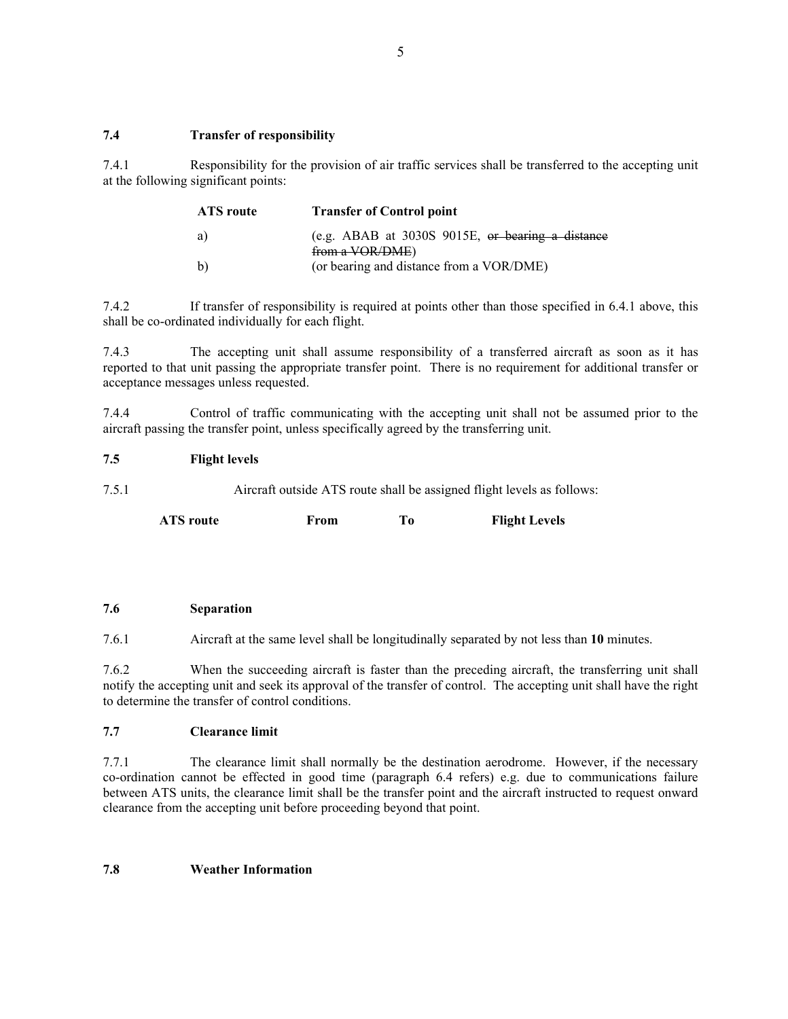## **7.4 Transfer of responsibility**

7.4.1 Responsibility for the provision of air traffic services shall be transferred to the accepting unit at the following significant points:

| ATS route    | <b>Transfer of Control point</b>                                      |
|--------------|-----------------------------------------------------------------------|
| a)           | (e.g. ABAB at $3030S$ 9015E, or bearing a distance<br>from a VOR/DME) |
| $\mathbf{b}$ | (or bearing and distance from a VOR/DME)                              |

7.4.2 If transfer of responsibility is required at points other than those specified in 6.4.1 above, this shall be co-ordinated individually for each flight.

7.4.3 The accepting unit shall assume responsibility of a transferred aircraft as soon as it has reported to that unit passing the appropriate transfer point. There is no requirement for additional transfer or acceptance messages unless requested.

7.4.4 Control of traffic communicating with the accepting unit shall not be assumed prior to the aircraft passing the transfer point, unless specifically agreed by the transferring unit.

## **7.5 Flight levels**

7.5.1 Aircraft outside ATS route shall be assigned flight levels as follows:

**ATS route From To Flight Levels**

### **7.6 Separation**

7.6.1 Aircraft at the same level shall be longitudinally separated by not less than **10** minutes.

7.6.2 When the succeeding aircraft is faster than the preceding aircraft, the transferring unit shall notify the accepting unit and seek its approval of the transfer of control. The accepting unit shall have the right to determine the transfer of control conditions.

## **7.7 Clearance limit**

7.7.1 The clearance limit shall normally be the destination aerodrome. However, if the necessary co-ordination cannot be effected in good time (paragraph 6.4 refers) e.g. due to communications failure between ATS units, the clearance limit shall be the transfer point and the aircraft instructed to request onward clearance from the accepting unit before proceeding beyond that point.

### **7.8 Weather Information**